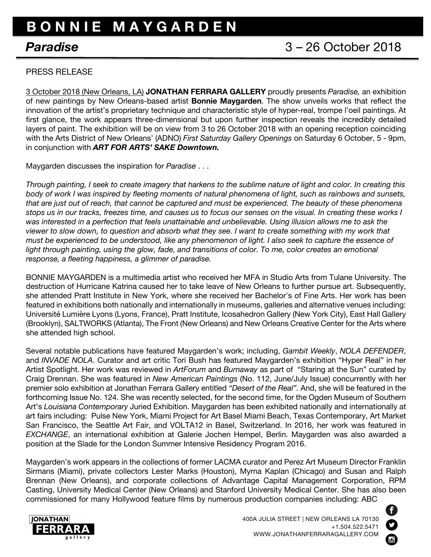## **B O N N I E M A Y G A R D E N**

## PRESS RELEASE

3 October 2018 (New Orleans, LA) **JONATHAN FERRARA GALLERY** proudly presents *Paradise,* an exhibition of new paintings by New Orleans-based artist **Bonnie Maygarden**. The show unveils works that reflect the innovation of the artist's proprietary technique and characteristic style of hyper-real, trompe l'oeil paintings. At first glance, the work appears three-dimensional but upon further inspection reveals the incredibly detailed layers of paint. The exhibition will be on view from 3 to 26 October 2018 with an opening reception coinciding with the Arts District of New Orleans' (ADNO) *First Saturday Gallery Openings* on Saturday 6 October, 5 - 9pm, in conjunction with *ART FOR ARTS' SAKE Downtown.*

Maygarden discusses the inspiration for *Paradise* . . .

*Through painting, I seek to create imagery that harkens to the sublime nature of light and color. In creating this body of work I was inspired by fleeting moments of natural phenomena of light, such as rainbows and sunsets, that are just out of reach, that cannot be captured and must be experienced. The beauty of these phenomena stops us in our tracks, freezes time, and causes us to focus our senses on the visual. In creating these works I was interested in a perfection that feels unattainable and unbelievable. Using illusion allows me to ask the viewer to slow down, to question and absorb what they see. I want to create something with my work that must be experienced to be understood, like any phenomenon of light. I also seek to capture the essence of*  light through painting, using the glow, fade, and transitions of color. To me, color creates an emotional *response, a fleeting happiness, a glimmer of paradise.*

BONNIE MAYGARDEN is a multimedia artist who received her MFA in Studio Arts from Tulane University. The destruction of Hurricane Katrina caused her to take leave of New Orleans to further pursue art. Subsequently, she attended Pratt Institute in New York, where she received her Bachelor's of Fine Arts. Her work has been featured in exhibitions both nationally and internationally in museums, galleries and alternative venues including: Université Lumière Lyons (Lyons, France), Pratt Institute, Icosahedron Gallery (New York City), East Hall Gallery (Brooklyn), SALTWORKS (Atlanta), The Front (New Orleans) and New Orleans Creative Center for the Arts where she attended high school.

Several notable publications have featured Maygarden's work; including, *Gambit Weekly*, *NOLA DEFENDER*, and *INVADE NOLA*. Curator and art critic Tori Bush has featured Maygarden's exhibition "Hyper Real" in her Artist Spotlight. Her work was reviewed in *ArtForum* and *Burnaway* as part of "Staring at the Sun" curated by Craig Drennan. She was featured in *New American Paintings* (No. 112, June/July Issue) concurrently with her premier solo exhibition at Jonathan Ferrara Gallery entitled *"Desert of the Real".* And, she will be featured in the forthcoming Issue No. 124. She was recently selected, for the second time, for the Ogden Museum of Southern Art's *Louisiana Contemporary* Juried Exhibition. Maygarden has been exhibited nationally and internationally at art fairs including: Pulse New York, Miami Project for Art Basel Miami Beach, Texas Contemporary, Art Market San Francisco, the Seattle Art Fair, and VOLTA12 in Basel, Switzerland. In 2016, her work was featured in *EXCHANGE*, an international exhibition at Galerie Jochen Hempel, Berlin. Maygarden was also awarded a position at the Slade for the London Summer Intensive Residency Program 2016.

Maygarden's work appears in the collections of former LACMA curator and Perez Art Museum Director Franklin Sirmans (Miami), private collectors Lester Marks (Houston), Myrna Kaplan (Chicago) and Susan and Ralph Brennan (New Orleans), and corporate collections of Advantage Capital Management Corporation, RPM Casting, University Medical Center (New Orleans) and Stanford University Medical Center. She has also been commissioned for many Hollywood feature films by numerous production companies including: ABC